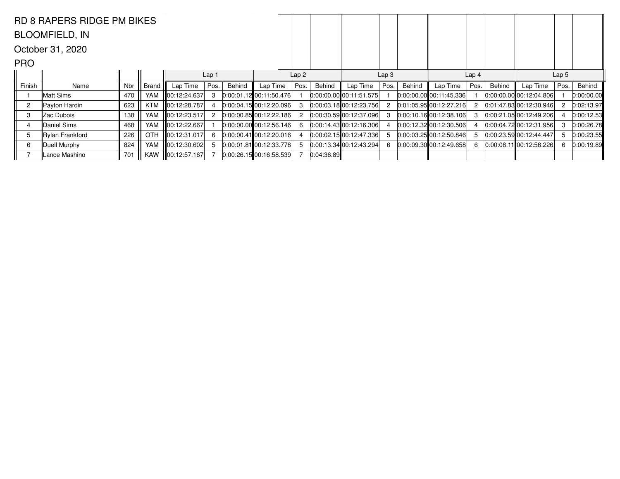|                | <b>RD 8 RAPERS RIDGE PM BIKES</b> |     |              |                                      |                  |               |                                 |                  |            |                             |                  |        |                             |                  |        |                                 |                  |            |
|----------------|-----------------------------------|-----|--------------|--------------------------------------|------------------|---------------|---------------------------------|------------------|------------|-----------------------------|------------------|--------|-----------------------------|------------------|--------|---------------------------------|------------------|------------|
|                | <b>BLOOMFIELD, IN</b>             |     |              |                                      |                  |               |                                 |                  |            |                             |                  |        |                             |                  |        |                                 |                  |            |
|                | October 31, 2020                  |     |              |                                      |                  |               |                                 |                  |            |                             |                  |        |                             |                  |        |                                 |                  |            |
| <b>PRO</b>     |                                   |     |              |                                      |                  |               |                                 |                  |            |                             |                  |        |                             |                  |        |                                 |                  |            |
|                |                                   |     |              |                                      | Lap <sub>1</sub> |               |                                 | Lap <sub>2</sub> |            |                             | Lap <sub>3</sub> |        |                             | Lap <sub>4</sub> |        |                                 | Lap <sub>5</sub> |            |
| Finish         | Name                              | Nbr | <b>Brand</b> | Lap Time                             | Pos.             | <b>Behind</b> | Lap Time                        | Pos.             | Behind     | Lap Time                    | Pos.             | Behind | Lap Time                    | Pos.             | Behind | Lap Time                        | Pos.             | Behind     |
|                | Matt Sims                         | 470 | <b>YAM</b>   | 00:12:24.637                         |                  |               | $0:00:01.12$ 00:11:50.476       |                  |            | $0:00:00.00$ 00:11:51.575   |                  |        | 0:00:00.00 00:11:45.336     |                  |        | $[0:00:00.00]$ $[00:12:04.806]$ |                  | 0:00:00.00 |
| $\overline{c}$ | Payton Hardin                     | 623 | KTM          | 00:12:28.787                         |                  |               | 0:00:04.1500:12:20.096          | -3               |            | 0:00:03.1800:12:23.756      |                  |        | $0:01:05.95$ 00:12:27.216   | 2                |        | $0:01:47.83$ 00:12:30.946       |                  | 0:02:13.97 |
| 3              | ∥Zac Dubois                       | 138 | <b>YAM</b>   | ∥00:12:23.517                        |                  |               | 0:00:00.85 00:12:22.186         |                  |            | 0:00:30.59 00:12:37.096     |                  |        | $[0:00:10.16]$ 00:12:38.106 | 3                |        | 0:00:21.0500:12:49.206          |                  | 0:00:12.53 |
|                | Daniel Sims                       | 468 | YAM          | III00:12:22.667                      |                  |               | $0:00:00.00$ 00:12:56.146       | 6                |            | $[0:00:14.43]$ 00:12:16.306 |                  |        | $0:00:12.32$ 00:12:30.506   |                  |        | 0:00:04.72 00:12:31.956         |                  | 0:00:26.78 |
| 5              | ∥Rylan Frankford                  | 226 | <b>OTH</b>   | $\textcolor{blue}{\ 00:12:31.017\ }$ |                  |               | $[0:00:00.41]$ $[00:12:20.016]$ |                  |            | 0:00:02.15 00:12:47.336     |                  |        | $0:00:03.25$ 00:12:50.846   | 5                |        | 0:00:23.59 00:12:44.447         |                  | 0:00:23.55 |
| 6              | Duell Murphy                      | 824 | <b>YAM</b>   | Iloo:12:30.602L                      |                  |               | $[0:00:01.81]$ 00:12:33.778     |                  |            | $0:00:13.34$ 00:12:43.294   |                  |        | $0.00:09.30$ 00:12:49.658   | 6                |        | $0.00:08.11$ 00:12:56.226       |                  | 0:00:19.89 |
|                | Lance Mashino                     | 701 | KAW          | $\ 00:12:57.167\ $                   |                  |               | [0.00:26.15] 00:16:58.539]      |                  | 0:04:36.89 |                             |                  |        |                             |                  |        |                                 |                  |            |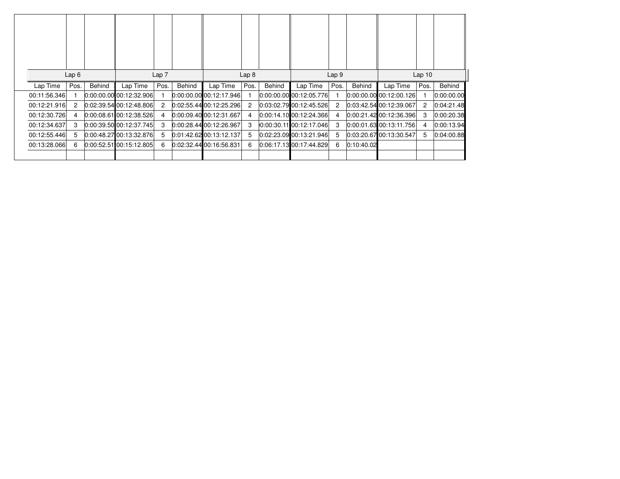|              | Lap6 |        |                             | Lap <sub>7</sub> |        |                                 | Lap <sub>8</sub> |        |                         | Lap <sub>9</sub> |            |                             | Lap10 |            |
|--------------|------|--------|-----------------------------|------------------|--------|---------------------------------|------------------|--------|-------------------------|------------------|------------|-----------------------------|-------|------------|
| Lap Time     | Pos. | Behind | Lap Time                    | Pos.             | Behind | Lap Time                        | Pos.             | Behind | Lap Time                | Pos.             | Behind     | Lap Time                    | Pos.  | Behind     |
| 00:11:56.346 |      |        | $0.00.00.00$ $00.12.32.906$ |                  |        | $[0:00:00.00]$ $[00:12:17.946]$ |                  |        | 0.00.0000000012.05.776  |                  |            | $[0.00:00.00]$ 00:12:00.126 |       | 0:00:00.00 |
| 00:12:21.916 | 2    |        | 0:02:39.54 00:12:48.806     | 2                |        | $0:02:55.44$ 00:12:25.296       | 2                |        | 0:03:02.79 00:12:45.526 | 2                |            | [0.03:42.54]00:12:39.067]   | 2     | 0:04:21.48 |
| 00:12:30.726 | 4    |        | 0:00:08.61100:12:38.526     | 4                |        | 0:00:09.40 00:12:31.667         | 4                |        | 0:00:14.10 00:12:24.366 |                  |            | [0:00:21.42]00:12:36.396]   | 3     | 0:00:20.38 |
| 00:12:34.637 | 3    |        | 0:00:39.50 00:12:37.745     | З                |        | 0:00:28.44 00:12:26.967         | 3                |        | 0.00:30.11 00:12:17.046 | 3                |            | 0.00:01.63 00:13:11.756     | 4     | 0:00:13.94 |
| 00:12:55.446 | 5.   |        | 0.00:48.2700:13:32.876      | 5.               |        | $0:01:42.62$ 00:13:12.137       | 5                |        | 0.02:23.0900:13:21.946  | 5                |            | 0.03:20.67 00:13:30.547     | 5     | 0:04:00.88 |
| 00:13:28.066 | 6    |        | 0:00:52.51 00:15:12.805     | 6                |        | 0:02:32.44 00:16:56.831         | 6                |        | 0:06:17.13 00:17:44.829 | 6                | 0:10:40.02 |                             |       |            |
|              |      |        |                             |                  |        |                                 |                  |        |                         |                  |            |                             |       |            |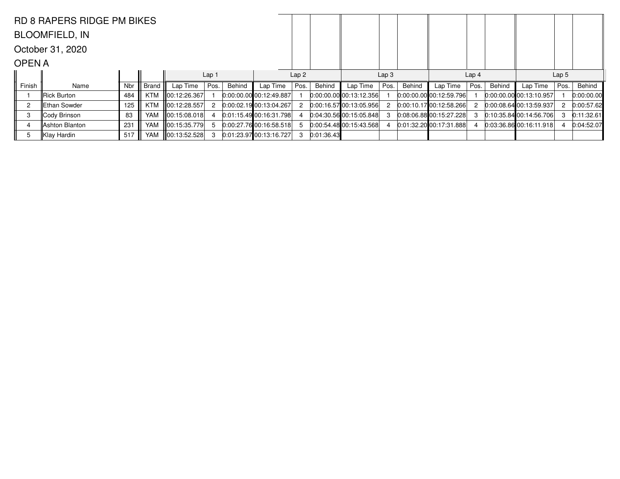|              | <b>RD 8 RAPERS RIDGE PM BIKES</b> |     |              |                      |                  |        |                             |                  |            |                                 |                  |        |                           |                  |        |                           |                  |            |
|--------------|-----------------------------------|-----|--------------|----------------------|------------------|--------|-----------------------------|------------------|------------|---------------------------------|------------------|--------|---------------------------|------------------|--------|---------------------------|------------------|------------|
|              | <b>BLOOMFIELD, IN</b>             |     |              |                      |                  |        |                             |                  |            |                                 |                  |        |                           |                  |        |                           |                  |            |
|              | October 31, 2020                  |     |              |                      |                  |        |                             |                  |            |                                 |                  |        |                           |                  |        |                           |                  |            |
| <b>OPENA</b> |                                   |     |              |                      |                  |        |                             |                  |            |                                 |                  |        |                           |                  |        |                           |                  |            |
|              |                                   |     |              |                      | Lap <sub>1</sub> |        |                             | Lap <sub>2</sub> |            |                                 | Lap <sub>3</sub> |        |                           | Lap <sub>4</sub> |        |                           | Lap <sub>5</sub> |            |
| Finish       | Name                              | Nbr | <b>Brand</b> | Lap Time             | Pos.             | Behind | Lap Time                    | Pos.             | Behind     | Lap Time                        | Pos.             | Behind | Lap Time                  | Pos.             | Behind | Lap Time                  | Pos.             | Behind     |
|              | Rick Burton                       | 484 | KTM          | 00:12:26.367         |                  |        | $0.00:00.00$ 00:12:49.887   |                  |            | $[0:00:00.00]$ $[00:13:12.356]$ |                  |        | $0:00:00.00$ 00:12:59.796 |                  |        | $0:00:00.00$ 00:13:10.957 |                  | 0:00:00.00 |
| 2            | ∥Ethan Sowder                     | 125 | KTM          | $\  00:12:28.557 \ $ |                  |        | 0:00:02.1900:13:04.267      |                  |            | 0:00:16.5700:13:05.956          |                  |        | 0:00:10.1700:12:58.266    | -2               |        | $0:00:08.64$ 00:13:59.937 |                  | 0:00:57.62 |
| 3            | Cody Brinson                      | 83  | <b>YAM</b>   | 00:15:08.018         |                  |        | 0.01:15.49 00:16:31.798     |                  |            | 0.04:30.56 00:15:05.848         |                  |        | $0.08.06.88$ 00:15:27.228 | -3               |        | $0:10:35.84$ 00:14:56.706 |                  | 0:11:32.61 |
|              | Ashton Blanton                    | 231 | YAM          | 00:15:35.779         |                  |        | $[0.00:27.76]$ 00:16:58.518 |                  |            | 0:00:54.4800:15:43.568          |                  |        | 0:01:32.20 00:17:31.888   |                  |        | 0.03:36.86 00:16:11.918   |                  | 0:04:52.07 |
| 5            | Klay Hardin                       | 517 | YAM          | $\ 00:13:52.528\ $   |                  |        | 0.01:23.97 00.13:16.727     | 3                | 0:01:36.43 |                                 |                  |        |                           |                  |        |                           |                  |            |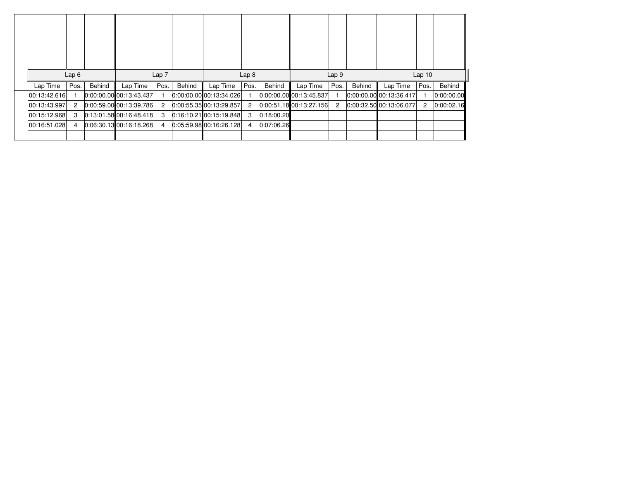|              | Lap6 |        |                             | Lap <sub>7</sub> |        |                           | Lap <sub>8</sub> |            |                         | Lap <sub>9</sub> |        |                         | Lap10 |            |
|--------------|------|--------|-----------------------------|------------------|--------|---------------------------|------------------|------------|-------------------------|------------------|--------|-------------------------|-------|------------|
| Lap Time     | Pos. | Behind | Lap Time                    | Pos.             | Behind | Lap Time                  | Pos.             | Behind     | Lap Time                | Pos.             | Behind | Lap Time                | Pos.  | Behind     |
| 00:13:42.616 |      |        | $[0:00:00.00]$ 00:13:43.437 |                  |        | $0:00:00.00$ 00:13:34.026 |                  |            | 0:00:00.00 00:13:45.837 |                  |        | 0:00:00.00 00:13:36.417 |       | 0:00:00.00 |
| 00:13:43.997 | 2    |        | $0:00:59.00$ 00:13:39.786   | 2                |        | 0:00:55.3500:13:29.857    | 2                |            | 0:00:51.1800:13:27.156  | 2                |        | 0.00:32.50 00:13:06.077 | 2     | 0:00:02.16 |
| 00:15:12.968 | 3    |        | $0:13:01.58$ 00:16:48.418   | 3                |        | $0:16:10.21$ 00:15:19.848 | 3                | 0:18:00.20 |                         |                  |        |                         |       |            |
| 00:16:51.028 | 4    |        | 0.06:30.1300:16:18.268      | 4                |        | $0:05:59.98$ 00:16:26.128 | 4                | 0:07:06.26 |                         |                  |        |                         |       |            |
|              |      |        |                             |                  |        |                           |                  |            |                         |                  |        |                         |       |            |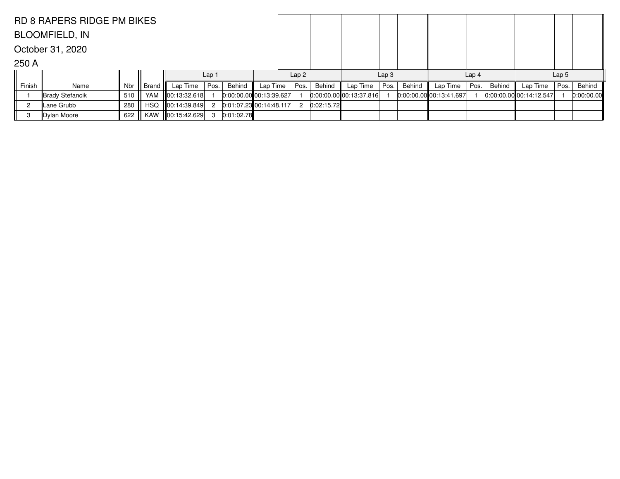|                | <b>RD 8 RAPERS RIDGE PM BIKES</b> |     |       |                    |                  |            |                         |                  |            |                           |                  |        |                           |                  |        |                                 |                  |            |
|----------------|-----------------------------------|-----|-------|--------------------|------------------|------------|-------------------------|------------------|------------|---------------------------|------------------|--------|---------------------------|------------------|--------|---------------------------------|------------------|------------|
|                | <b>BLOOMFIELD, IN</b>             |     |       |                    |                  |            |                         |                  |            |                           |                  |        |                           |                  |        |                                 |                  |            |
|                | October 31, 2020                  |     |       |                    |                  |            |                         |                  |            |                           |                  |        |                           |                  |        |                                 |                  |            |
| 250 A          |                                   |     |       |                    |                  |            |                         |                  |            |                           |                  |        |                           |                  |        |                                 |                  |            |
|                |                                   |     |       |                    | Lap <sub>1</sub> |            |                         | Lap <sub>2</sub> |            |                           | Lap <sub>3</sub> |        |                           | Lap <sub>4</sub> |        |                                 | Lap <sub>5</sub> |            |
| Finish         | Name                              | Nbr | Brand | Lap Time           | Pos.             | Behind     | Lap Time                | Pos.             | Behind     | Lap Time                  | Pos.             | Behind | Lap Time                  | Pos.             | Behind | Lap Time                        | Pos.             | Behind     |
|                | Brady Stefancik                   | 510 | YAM   | $\ 00:13:32.618\ $ |                  |            | 0:00:00.00 00:13:39.627 |                  |            | $0:00:00.00$ 00:13:37.816 |                  |        | $0:00:00.00$ 00:13:41.697 |                  |        | $[0:00:00.00]$ $[00:14:12.547]$ |                  | 0:00:00.00 |
| $\overline{c}$ | Lane Grubb                        | 280 | HSQ   |                    |                  |            | 0.01.07.23 00.14.48.117 | 2                | 0:02:15.72 |                           |                  |        |                           |                  |        |                                 |                  |            |
| -3             | Dylan Moore                       | 622 |       | KAW ∭00:15:42.629  | 3                | 0:01:02.78 |                         |                  |            |                           |                  |        |                           |                  |        |                                 |                  |            |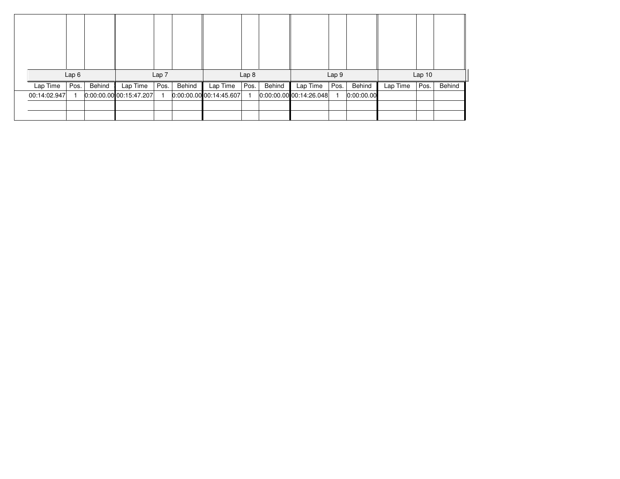|              | Lap6 |        |                            | Lap 7 |        |                           | Lap <sub>8</sub> |        |                         | Lap 9 |            |          | Lap10 |        |
|--------------|------|--------|----------------------------|-------|--------|---------------------------|------------------|--------|-------------------------|-------|------------|----------|-------|--------|
| Lap Time     | Pos. | Behind | Lap Time                   | Pos.  | Behind | Lap Time                  | Pos.             | Behind | Lap Time                | Pos.  | Behind     | Lap Time | Pos.  | Behind |
| 00:14:02.947 |      |        | $0.00.00$ .00 00:15:47.207 |       |        | $0:00:00.00$ 00:14:45.607 |                  |        | 0:00:00.00 00:14:26.048 |       | 0:00:00.00 |          |       |        |
|              |      |        |                            |       |        |                           |                  |        |                         |       |            |          |       |        |
|              |      |        |                            |       |        |                           |                  |        |                         |       |            |          |       |        |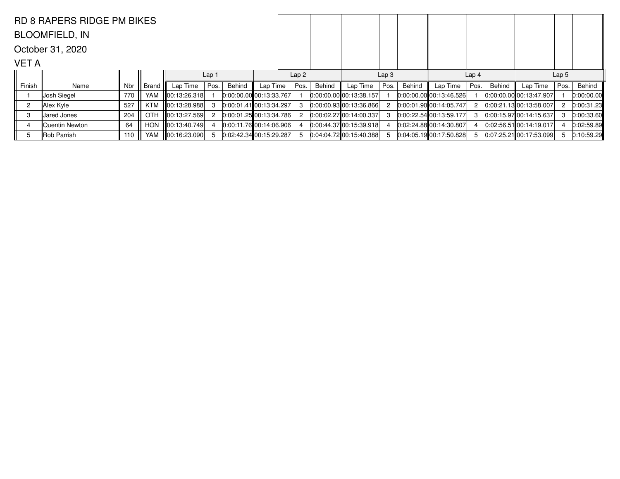|                | <b>RD 8 RAPERS RIDGE PM BIKES</b> |     |              |                    |                  |        |                             |                  |        |                             |                  |        |                             |                  |        |                           |                  |            |
|----------------|-----------------------------------|-----|--------------|--------------------|------------------|--------|-----------------------------|------------------|--------|-----------------------------|------------------|--------|-----------------------------|------------------|--------|---------------------------|------------------|------------|
|                | <b>BLOOMFIELD, IN</b>             |     |              |                    |                  |        |                             |                  |        |                             |                  |        |                             |                  |        |                           |                  |            |
|                | October 31, 2020                  |     |              |                    |                  |        |                             |                  |        |                             |                  |        |                             |                  |        |                           |                  |            |
| VET A          |                                   |     |              |                    |                  |        |                             |                  |        |                             |                  |        |                             |                  |        |                           |                  |            |
|                |                                   |     |              |                    | Lap <sub>1</sub> |        |                             | Lap <sub>2</sub> |        |                             | Lap <sub>3</sub> |        |                             | Lap <sub>4</sub> |        |                           | Lap <sub>5</sub> |            |
| Finish         | Name                              | Nbr | <b>Brand</b> | Lap Time           | Pos.             | Behind | Lap Time                    | Pos.             | Behind | Lap Time                    | Pos.             | Behind | Lap Time                    | Pos.             | Behind | Lap Time                  | Pos.             | Behind     |
|                | ∥Josh Siegel                      | 770 | YAM          | 00:13:26.318       |                  |        | $[0.00.00.00]$ 00:13:33.767 |                  |        | $[0:00:00.00]$ 00:13:38.157 |                  |        | 0.00.00.00 00.13.46.526     |                  |        | 0.00.00000000013.47.907   |                  | 0:00:00.00 |
| $\overline{c}$ | Alex Kyle                         | 527 | KTM          |                    |                  |        | $0:00:01.41$ 00:13:34.297   | 3                |        | $0:00:00.93$ 00:13:36.866   |                  |        | 0:00:01.90 00:14:05.747     | 2                |        | 0:00:21.1300:13:58.007    | 2                | 0:00:31.23 |
| 3              | Jared Jones                       | 204 | <b>OTH</b>   | $\ 00:13:27.569\ $ |                  |        | 0:00:01.25 00:13:34.786     |                  |        | $[0:00:02.27]$ 00:14:00.337 | З                |        | $[0:00:22.54]$ 00:13:59.177 | -3               |        | 0:00:15.9700:14:15.637    |                  | 0:00:33.60 |
|                | Quentin Newton                    | 64  | <b>HON</b>   | $\ 00:13:40.749\ $ |                  |        | $[0:00:11.76]$ 00:14:06.906 |                  |        | 0.00:44.3700:15:39.918      |                  |        | $0:02:24.88$ 00:14:30.807   |                  |        | 0.02:56.51 00:14:19.017   |                  | 0:02:59.89 |
| 5              | ∥Rob Parrish                      | 110 | YAM          | $\ 00:16:23.090\ $ |                  |        | 0.02:42.34100:15:29.287     |                  |        | 0.04.04.72 00.15.40.388     |                  |        | 0.04:05.1900:17:50.828      | 5                |        | $0:07:25.21$ 00:17:53.099 |                  | 0:10:59.29 |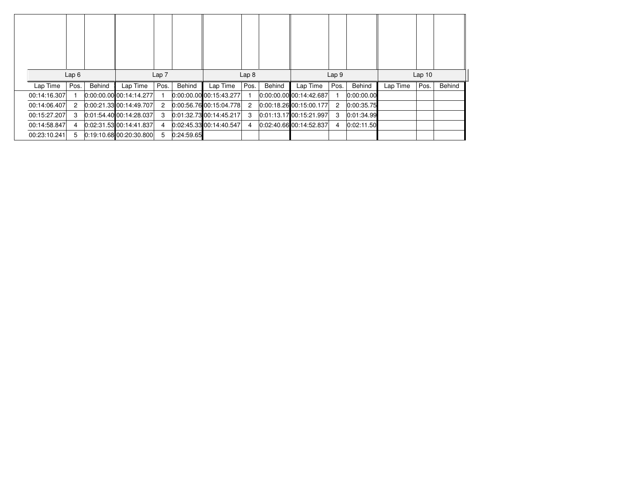|              | Lap6 |        |                             | Lap <sub>7</sub> |            |                                 | Lap <sub>8</sub> |        |                         | Lap <sub>9</sub> |            |          | Lap10 |        |
|--------------|------|--------|-----------------------------|------------------|------------|---------------------------------|------------------|--------|-------------------------|------------------|------------|----------|-------|--------|
| Lap Time     | Pos. | Behind | Lap Time                    | Pos.             | Behind     | Lap Time                        | Pos.             | Behind | Lap Time                | Pos.             | Behind     | Lap Time | Pos.  | Behind |
| 00:14:16.307 |      |        | $0:00:00.00$ 00:14:14.277   |                  |            | $[0:00:00.00]$ $[00:15:43.277]$ |                  |        | 0:00:00.00 00:14:42.687 |                  | 0:00:00.00 |          |       |        |
| 00:14:06.407 | 2    |        | 0:00:21.33 00:14:49.707     | $\overline{c}$   |            | $[0.00:56.76]$ 00:15:04.778     | 2                |        | 0:00:18.26 00:15:00.177 | 2                | 0:00:35.75 |          |       |        |
| 00:15:27.207 | 3    |        | $[0.01:54.40]$ 00:14:28.037 | 3                |            | $0:01:32.73$ 00:14:45.217       | 3                |        | 0:01:13.17 00:15:21.997 | 3                | 0:01:34.99 |          |       |        |
| 00:14:58.847 | 4    |        | 0:02:31.53 00:14:41.837     | 4                |            | 0:02:45.33 00:14:40.547         | 4                |        | 0:02:40.66 00:14:52.837 | 4                | 0:02:11.50 |          |       |        |
| 00:23:10.241 | 5    |        | $0:19:10.68$ 00:20:30.800   | 5                | 0:24:59.65 |                                 |                  |        |                         |                  |            |          |       |        |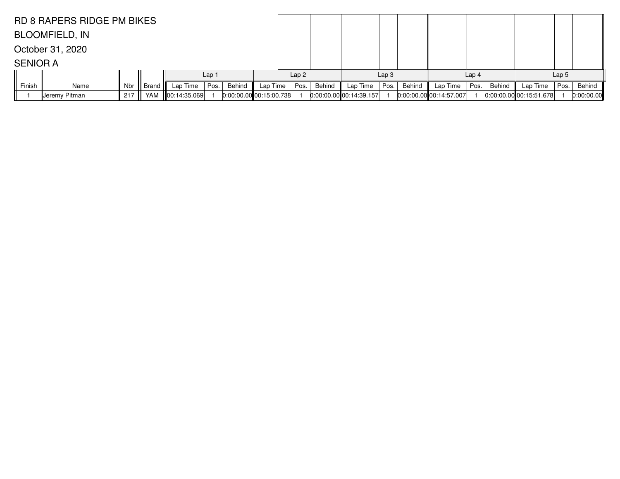|                 | <b>RD 8 RAPERS RIDGE PM BIKES</b> |     |            |              |                  |        |                             |      |        |                           |                  |        |                             |                  |        |                             |                  |            |
|-----------------|-----------------------------------|-----|------------|--------------|------------------|--------|-----------------------------|------|--------|---------------------------|------------------|--------|-----------------------------|------------------|--------|-----------------------------|------------------|------------|
|                 | <b>BLOOMFIELD, IN</b>             |     |            |              |                  |        |                             |      |        |                           |                  |        |                             |                  |        |                             |                  |            |
|                 | October 31, 2020                  |     |            |              |                  |        |                             |      |        |                           |                  |        |                             |                  |        |                             |                  |            |
| <b>SENIOR A</b> |                                   |     |            |              |                  |        |                             |      |        |                           |                  |        |                             |                  |        |                             |                  |            |
|                 |                                   |     |            |              | Lap <sub>1</sub> |        |                             | Lap2 |        |                           | Lap <sub>3</sub> |        |                             | Lap <sub>4</sub> |        |                             | Lap <sub>5</sub> |            |
| Finish          | Name                              | Nbr | Brand      | Lap Time     | Pos.             | Behind | Lap Time                    | Pos. | Behind | Lap Time                  | Pos.             | Behind | Lap Time                    | Pos.             | Behind | Lap Time                    | Pos.             | Behind     |
|                 | ∥Jeremy Pitman                    | 217 | <b>YAM</b> | 00:14:35.069 |                  |        | $0:00:00.00$ $00:15:00.738$ |      |        | $0:00:00.00$ 00:14:39.157 |                  |        | $[0:00:00.00]$ 00:14:57.007 |                  |        | $[0:00:00.00]$ 00:15:51.678 |                  | 0:00:00.00 |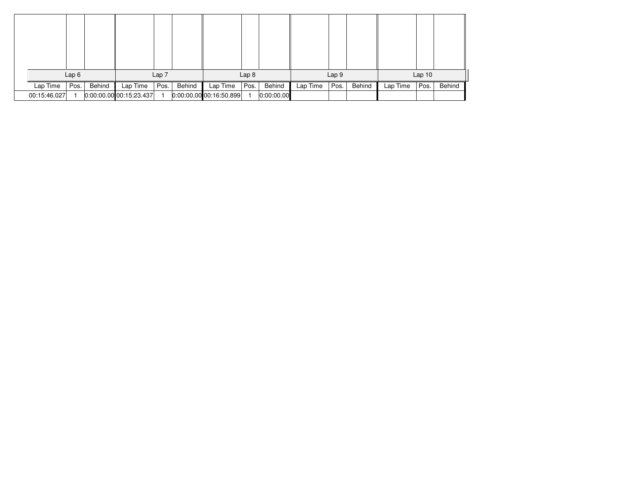|              | Lap6 |        |                             | Lap <sub>7</sub> |        |                           | Lap <sub>8</sub> |            |          | Lap <sub>9</sub> |        |          | Lap10 |        |
|--------------|------|--------|-----------------------------|------------------|--------|---------------------------|------------------|------------|----------|------------------|--------|----------|-------|--------|
| Lap Time     | Pos. | Behind | Lap Time                    | Pos.             | Behind | Lap Time                  | Pos.             | Behind     | Lap Time | Pos.             | Behind | Lap Time | Pos.  | Behind |
| 00:15:46.027 |      |        | $[0:00:00.00]$ 00:15:23.437 | 1                |        | $0.00.00.00$ 00:16:50.899 |                  | 0:00:00.00 |          |                  |        |          |       |        |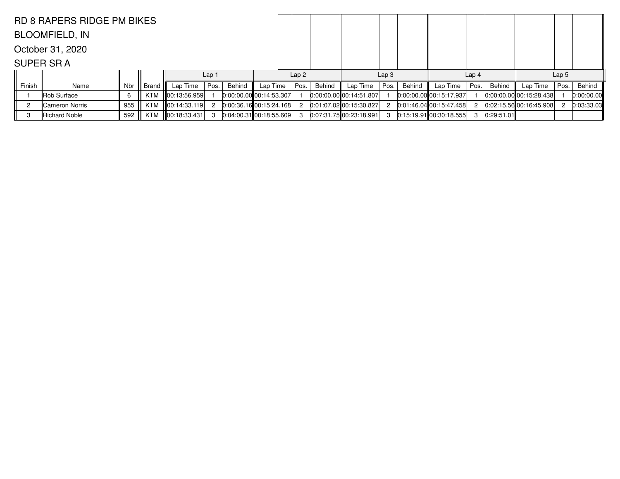|        | <b>RD 8 RAPERS RIDGE PM BIKES</b> |            |       |                    |                  |        |                             |                  |        |                             |                  |        |                           |                  |            |                             |                  |            |
|--------|-----------------------------------|------------|-------|--------------------|------------------|--------|-----------------------------|------------------|--------|-----------------------------|------------------|--------|---------------------------|------------------|------------|-----------------------------|------------------|------------|
|        | <b>BLOOMFIELD, IN</b>             |            |       |                    |                  |        |                             |                  |        |                             |                  |        |                           |                  |            |                             |                  |            |
|        | October 31, 2020                  |            |       |                    |                  |        |                             |                  |        |                             |                  |        |                           |                  |            |                             |                  |            |
|        | <b>SUPER SRA</b>                  |            |       |                    |                  |        |                             |                  |        |                             |                  |        |                           |                  |            |                             |                  |            |
|        |                                   |            |       |                    | Lap <sub>1</sub> |        |                             | Lap <sub>2</sub> |        |                             | Lap <sub>3</sub> |        |                           | Lap <sub>4</sub> |            |                             | Lap <sub>5</sub> |            |
| Finish | Name                              | <b>Nbr</b> | Brand | Lap Time           | Pos.             | Behind | Lap Time                    | Pos.             | Behind | Lap Time                    | Pos.             | Behind | Lap Time                  | Pos.             | Behind     | Lap Time                    | Pos.             | Behind     |
|        | Rob Surface                       | 6          | KTM   | $\ 00:13:56.959\ $ |                  |        | $[0:00:00.00]$ 00:14:53.307 |                  |        | $[0:00:00.00]$ 00:14:51.807 |                  |        | $0:00:00.00$ 00:15:17.937 |                  |            | $[0:00:00.00]$ 00:15:28.438 |                  | 0:00:00.00 |
|        | Cameron Norris                    | 955        | KTM   | $\ 00:14:33.119\ $ |                  |        | 0:00:36.1600:15:24.168      | 2                |        | $0:01:07.02$ 00:15:30.827   | 2                |        | $0:01:46.04$ 00:15:47.458 | $\overline{2}$   |            | 0.02:15.5600:16:45.908      |                  | 0:03:33.03 |
| Э      | Richard Noble                     | 592        | KTM   | $\ 00:18:33.431\ $ |                  |        | 0.04.00.31 00.18.55.609     | -3               |        | 0:07:31.75 00:23:18.991     | 3                |        | $0:15:19.91$ 00:30:18.555 | - 3              | 0:29:51.01 |                             |                  |            |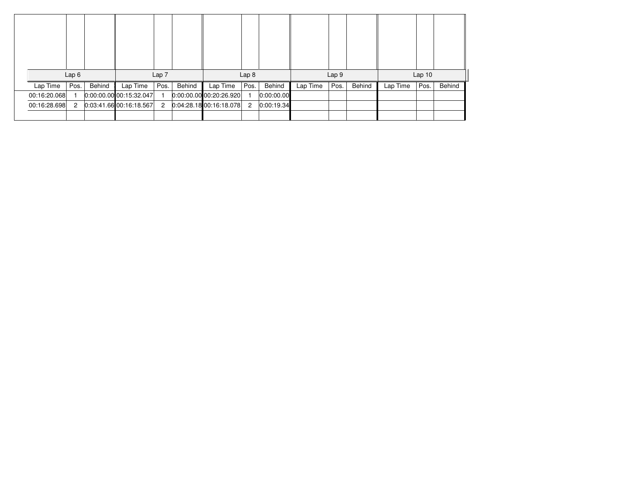|              | Lap6   |        |                           | Lap <sub>7</sub> |        |                           | Lap 8          |            |          | Lap 9 |        |          | Lap10 |        |
|--------------|--------|--------|---------------------------|------------------|--------|---------------------------|----------------|------------|----------|-------|--------|----------|-------|--------|
| Lap Time     | Pos.   | Behind | Lap Time                  | Pos.             | Behind | Lap Time                  | Pos.           | Behind     | Lap Time | Pos.  | Behind | Lap Time | Pos.  | Behind |
| 00:16:20.068 |        |        | $0.00:00.00$ 00:15:32.047 |                  |        | $0:00:00.00$ 00:20:26.920 |                | 0.00:00.00 |          |       |        |          |       |        |
| 00:16:28.698 | $^{2}$ |        | 0.03:41.6600:16:18.567    | $\overline{2}$   |        | 0:04:28.1800:16:18.078    | $\overline{2}$ | 0:00:19.34 |          |       |        |          |       |        |
|              |        |        |                           |                  |        |                           |                |            |          |       |        |          |       |        |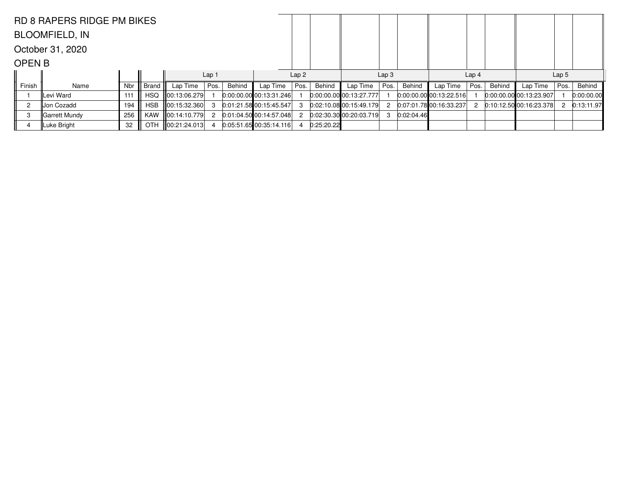|               | <b>RD 8 RAPERS RIDGE PM BIKES</b> |            |              |                    |                  |        |                                  |                  |            |                             |                  |            |                           |                  |        |                           |                  |            |
|---------------|-----------------------------------|------------|--------------|--------------------|------------------|--------|----------------------------------|------------------|------------|-----------------------------|------------------|------------|---------------------------|------------------|--------|---------------------------|------------------|------------|
|               | <b>BLOOMFIELD, IN</b>             |            |              |                    |                  |        |                                  |                  |            |                             |                  |            |                           |                  |        |                           |                  |            |
|               | October 31, 2020                  |            |              |                    |                  |        |                                  |                  |            |                             |                  |            |                           |                  |        |                           |                  |            |
| <b>OPEN B</b> |                                   |            |              |                    |                  |        |                                  |                  |            |                             |                  |            |                           |                  |        |                           |                  |            |
|               |                                   |            |              |                    | Lap <sub>1</sub> |        |                                  | Lap <sub>2</sub> |            |                             | Lap <sub>3</sub> |            |                           | Lap <sub>4</sub> |        |                           | Lap <sub>5</sub> |            |
| Finish        | Name                              | <b>Nbr</b> | <b>Brand</b> | Lap Time           | Pos.             | Behind | Lap Time                         | Pos.             | Behind     | Lap Time                    | Pos.             | Behind     | Lap Time                  | Pos.             | Behind | Lap Time                  | Pos.             | Behind     |
|               | Levi Ward                         | 111        | <b>HSQ</b>   | 00:13:06.279       |                  |        | $[0.00:00.00]$ $[0.01:3:31.246]$ |                  |            | $[0:00:00.00]$ 00:13:27.777 |                  |            | $0:00:00.00$ 00:13:22.516 |                  |        | $0.00:00.00$ 00:13:23.907 |                  | 0:00:00.00 |
| 2             | IJon Cozadd                       | 194        | <b>HSB</b>   | 00:15:32.360       |                  |        | 0:01:21.58000:15:45.547          | -3               |            | $0:02:10.08$ 00:15:49.179   | 2                |            | $0:07:01.78$ 00:16:33.237 | 2                |        | 0:10:12.50 00:16:23.378   | 2                | 0:13:11.97 |
| 3             | Garrett Mundy                     | 256        | <b>KAW</b>   | $\ 00:14:10.779\ $ | 2                |        | 0.01:04.50 00:14:57.048          |                  |            | 0:02:30.3000:20:03.719      | З                | 0:02:04.46 |                           |                  |        |                           |                  |            |
|               | Luke Bright                       | 32         |              | OTH 100:21:24.013  |                  |        | 0.05:51.6500:35:14.116           |                  | 0:25:20.22 |                             |                  |            |                           |                  |        |                           |                  |            |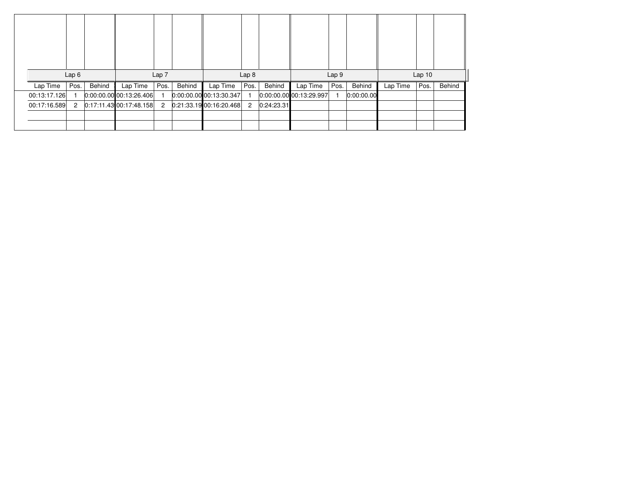|              | Lap6           |        |                           | Lap <sub>7</sub> |        |                             | Lap <sub>8</sub> |            |                         | Lap <sub>9</sub> |            |          | Lap10 |        |
|--------------|----------------|--------|---------------------------|------------------|--------|-----------------------------|------------------|------------|-------------------------|------------------|------------|----------|-------|--------|
| Lap Time     | Pos.           | Behind | Lap Time                  | Pos.             | Behind | Lap Time                    | Pos.             | Behind     | Lap Time                | Pos.             | Behind     | Lap Time | Pos.  | Behind |
| 00:13:17.126 |                |        | $0:00:00.00$ 00:13:26.406 |                  |        | $[0:00:00.00]$ 00:13:30.347 | 1                |            | 0:00:00.00 00:13:29.997 |                  | 0:00:00.00 |          |       |        |
| 00:17:16.589 | $\overline{2}$ |        | 0:17:11.43 00:17:48.158   |                  |        | 2 0:21:33.19 00:16:20.468   | $\overline{2}$   | 0:24:23.31 |                         |                  |            |          |       |        |
|              |                |        |                           |                  |        |                             |                  |            |                         |                  |            |          |       |        |
|              |                |        |                           |                  |        |                             |                  |            |                         |                  |            |          |       |        |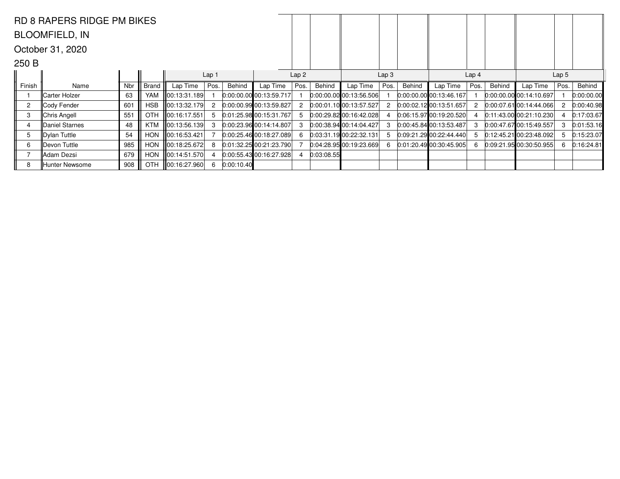|        | <b>RD 8 RAPERS RIDGE PM BIKES</b> |     |              |                |                  |            |                             |      |            |                             |                  |        |                                 |                  |        |                             |                  |            |
|--------|-----------------------------------|-----|--------------|----------------|------------------|------------|-----------------------------|------|------------|-----------------------------|------------------|--------|---------------------------------|------------------|--------|-----------------------------|------------------|------------|
|        | <b>BLOOMFIELD, IN</b>             |     |              |                |                  |            |                             |      |            |                             |                  |        |                                 |                  |        |                             |                  |            |
|        | October 31, 2020                  |     |              |                |                  |            |                             |      |            |                             |                  |        |                                 |                  |        |                             |                  |            |
| 250 B  |                                   |     |              |                |                  |            |                             |      |            |                             |                  |        |                                 |                  |        |                             |                  |            |
|        |                                   |     |              |                | Lap <sub>1</sub> |            |                             | Lap2 |            |                             | Lap <sub>3</sub> |        |                                 | Lap <sub>4</sub> |        |                             | Lap <sub>5</sub> |            |
| Finish | Name                              | Nbr | <b>Brand</b> | Lap Time       | Pos.             | Behind     | Lap Time                    | Pos. | Behind     | Lap Time                    | Pos.             | Behind | Lap Time                        | Pos.             | Behind | Lap Time                    | Pos.             | Behind     |
|        | Carter Holzer                     | 63  | YAM          | 00:13:31.189   |                  |            | $[0:00:00.00]$ 00:13:59.717 |      |            | $0:00:00.00$ 00:13:56.506   |                  |        | $[0:00:00.00]$ $[00:13:46.167]$ |                  |        | 0:00:00.00 00:14:10.697     |                  | 0:00:00.00 |
| 2      | ∥Cody Fender                      | 601 | <b>HSB</b>   | ∥00:13:32.179∐ |                  |            | 0.00:00.9900:13:59.827      | 2    |            | $0:00:01.10$ 00:13:57.527   | 2                |        | $[0:00:02.12]$ 00:13:51.657     | 2                |        | $[0:00:07.61]$ 00:14:44.066 | 2                | 0:00:40.98 |
| 3      | Chris Angell                      | 551 | OTH          | ∥00:16:17.551  | 5                |            | $[0.01:25.98]$ 00:15:31.767 | 5    |            | $[0.00:29.82]$ 00:16:42.028 |                  |        | 0.06:15.9700:19:20.520          |                  |        | 0:11:43.00 00:21:10.230     |                  | 0:17:03.67 |
|        | Daniel Starnes                    | 48  | KTM          | ∥00:13:56.139  |                  |            | $0:00:23.96$ 00:14:14.807   |      |            | $[0:00:38.94]$ 00:14:04.427 | З                |        | $[0:00:45.84]$ 00:13:53.487     | 3                |        | 0:00:47.67 00:15:49.557     | 3                | 0:01:53.16 |
| 5      | ∥Dylan Tuttle                     | 54  | <b>HON</b>   | ∥00:16:53.421  |                  |            | 0.00:25.4600:18:27.089      | -6   |            | 0:03:31.19 00:22:32.131     | 5                |        | 0.09:21.2900:22:44.440          | 5                |        | $0:12:45.21$ 00:23:48.092   | 5                | 0:15:23.07 |
| 6      | Devon Tuttle                      | 985 | <b>HON</b>   | ∥00:18:25.672  |                  |            | 0:01:32.25 00:21:23.790     |      |            | $0:04:28.95$ 00:19:23.669   | 6                |        | 0:01:20.4900:30:45.905          | 6                |        | 0.09:21.9500:30:50.955      | 6                | 0:16:24.81 |
|        | Adam Dezsi                        | 679 | <b>HON</b>   | ∥00:14:51.570  |                  |            | $0:00:55.43$ 00:16:27.928   |      | 0:03:08.55 |                             |                  |        |                                 |                  |        |                             |                  |            |
| 8      | Hunter Newsome                    | 908 | OTH          | 00:16:27.960   | 6                | 0:00:10.40 |                             |      |            |                             |                  |        |                                 |                  |        |                             |                  |            |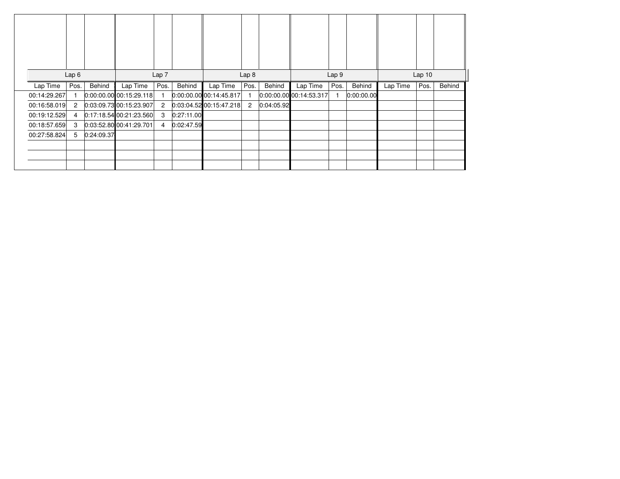|              | Lap6           |            |                           | Lap <sub>7</sub> |            |                             | Lap 8          |            |                             | Lap 9 |            |          | Lap10 |        |
|--------------|----------------|------------|---------------------------|------------------|------------|-----------------------------|----------------|------------|-----------------------------|-------|------------|----------|-------|--------|
| Lap Time     | Pos.           | Behind     | Lap Time                  | Pos.             | Behind     | Lap Time                    | Pos.           | Behind     | Lap Time                    | Pos.  | Behind     | Lap Time | Pos.  | Behind |
| 00:14:29.267 |                |            | $0:00:00.00$ 00:15:29.118 |                  |            | $[0:00:00.00]$ 00:14:45.817 | 1              |            | $[0:00:00.00]$ 00:14:53.317 |       | 0:00:00.00 |          |       |        |
| 00:16:58.019 | $\overline{2}$ |            | $0:03:09.73$ 00:15:23.907 | $\overline{2}$   |            | $0:03:04.52$ 00:15:47.218   | $\overline{2}$ | 0:04:05.92 |                             |       |            |          |       |        |
| 00:19:12.529 | 4              |            | $0:17:18.54$ 00:21:23.560 | 3                | 0:27:11.00 |                             |                |            |                             |       |            |          |       |        |
| 00:18:57.659 | 3              |            | 0.03:52.80 00:41:29.701   | 4                | 0:02:47.59 |                             |                |            |                             |       |            |          |       |        |
| 00:27:58.824 | 5              | 0:24:09.37 |                           |                  |            |                             |                |            |                             |       |            |          |       |        |
|              |                |            |                           |                  |            |                             |                |            |                             |       |            |          |       |        |
|              |                |            |                           |                  |            |                             |                |            |                             |       |            |          |       |        |
|              |                |            |                           |                  |            |                             |                |            |                             |       |            |          |       |        |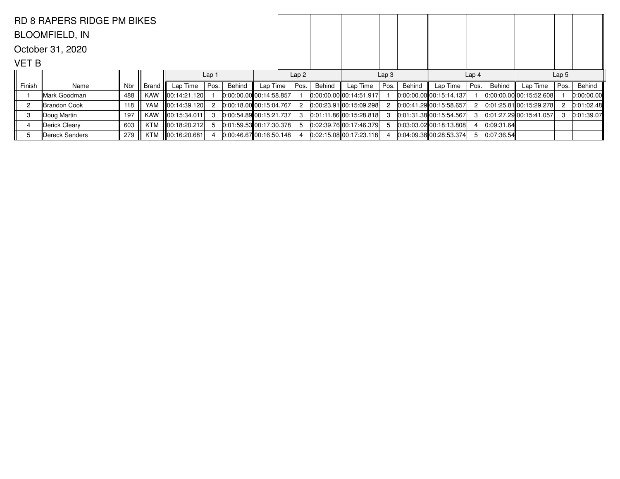|                | <b>RD 8 RAPERS RIDGE PM BIKES</b> |     |              |                    |                  |        |                             |                  |        |                                 |                  |        |                           |                  |            |                           |                  |            |
|----------------|-----------------------------------|-----|--------------|--------------------|------------------|--------|-----------------------------|------------------|--------|---------------------------------|------------------|--------|---------------------------|------------------|------------|---------------------------|------------------|------------|
|                | <b>BLOOMFIELD, IN</b>             |     |              |                    |                  |        |                             |                  |        |                                 |                  |        |                           |                  |            |                           |                  |            |
|                | October 31, 2020                  |     |              |                    |                  |        |                             |                  |        |                                 |                  |        |                           |                  |            |                           |                  |            |
| VET B          |                                   |     |              |                    |                  |        |                             |                  |        |                                 |                  |        |                           |                  |            |                           |                  |            |
|                |                                   |     |              |                    | Lap <sub>1</sub> |        |                             | Lap <sub>2</sub> |        |                                 | Lap <sub>3</sub> |        |                           | Lap <sub>4</sub> |            |                           | Lap <sub>5</sub> |            |
| Finish         | Name                              | Nbr | <b>Brand</b> | Lap Time           | Pos.             | Behind | Lap Time                    | Pos.             | Behind | Lap Time                        | Pos.             | Behind | Lap Time                  | Pos.             | Behind     | Lap Time                  | Pos.             | Behind     |
|                | Mark Goodman                      | 488 | KAW          | 100:14:21.120      |                  |        | $[0.00.00.00]$ 00:14:58.857 |                  |        | $[0:00:00.00]$ $[00:14:51.917]$ |                  |        | $0:00:00.00$ 00:15:14.137 |                  |            | $0.00:00.00$ 00:15:52.608 |                  | 0:00:00.00 |
| $\overline{c}$ | ∥Brandon Cook                     | 118 | YAM          | $\ 00:14:39.120\ $ |                  |        | $0:00:18.00$ 00:15:04.767   | 2                |        | $0:00:23.91$ 00:15:09.298       | 2                |        | 0:00:41.29 00:15:58.657   | 2                |            | 0:01:25.81 00:15:29.278   |                  | 0:01:02.48 |
| 3              | ∥Doug Martin                      | 197 | KAW          | III00:15:34.011 I  |                  |        | 0:00:54.89 00:15:21.737     | 3                |        | $[0:01:11.86]$ 00:15:28.818     | З                |        | 0.01:31.38000:15:54.567   | -3               |            | 0:01:27.29 00:15:41.057   | 3                | 0:01:39.07 |
|                | Derick Cleary                     | 603 | KTM          | 00:18:20.212       |                  |        | 0.01:59.53 00:17:30.378     |                  |        | 0.02:39.7600:17:46.379          |                  |        | $0:03:03.02$ 00:18:13.808 |                  | 0:09:31.64 |                           |                  |            |
| -5             | Dereck Sanders                    | 279 | KTM          | 00:16:20.681       |                  |        | 0:00:46.67100:16:50.148     |                  |        | $0:02:15.08$ 00:17:23.118       |                  |        | 0.04.09.3800.28.53.374    | 5                | 0:07:36.54 |                           |                  |            |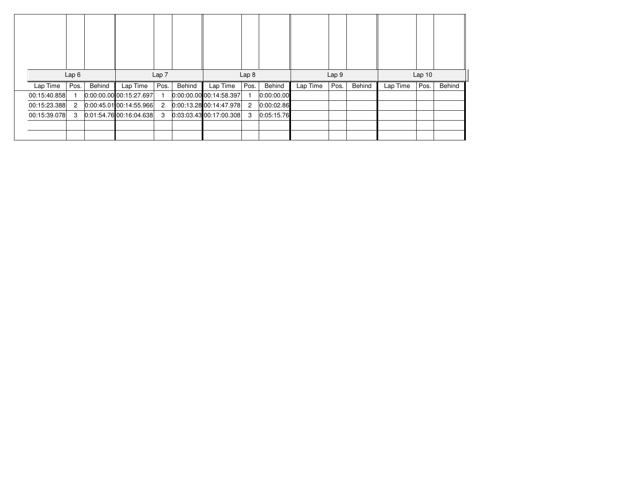|              | Lap6         |        |                             | Lap <sub>7</sub> |        |                           | Lap <sub>8</sub> |            |          | Lap 9 |        |          | Lap10 |        |
|--------------|--------------|--------|-----------------------------|------------------|--------|---------------------------|------------------|------------|----------|-------|--------|----------|-------|--------|
| Lap Time     | Pos.         | Behind | Lap Time                    | Pos.             | Behind | Lap Time                  | Pos.             | Behind     | Lap Time | Pos.  | Behind | Lap Time | Pos.  | Behind |
| 00:15:40.858 |              |        | $0:00:00.00$ 00:15:27.697   |                  |        | $0:00:00.00$ 00:14:58.397 |                  | 0:00:00.00 |          |       |        |          |       |        |
| 00:15:23.388 | $\mathbf{2}$ |        | $[0.00:45.01]$ 00:14:55.966 | $\overline{2}$   |        | $0.00:13.28$ 00:14:47.978 | $\overline{2}$   | 0:00:02.86 |          |       |        |          |       |        |
| 00:15:39.078 | 3            |        | $[0.01:54.76]$ 00:16:04.638 | 3                |        | 0.03.03.4300.17.00.308    | 3                | 0:05:15.76 |          |       |        |          |       |        |
|              |              |        |                             |                  |        |                           |                  |            |          |       |        |          |       |        |
|              |              |        |                             |                  |        |                           |                  |            |          |       |        |          |       |        |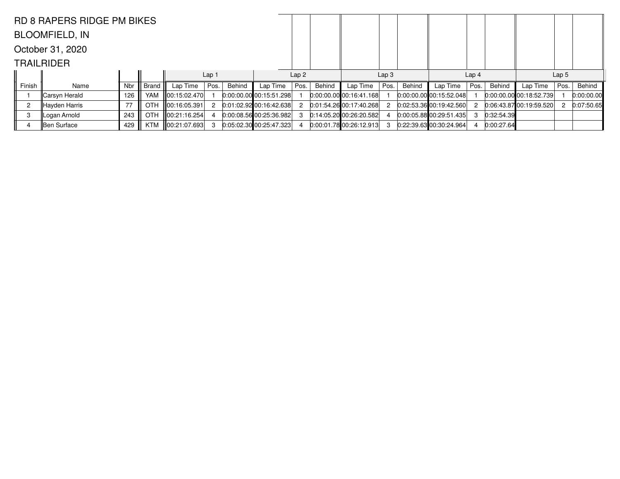|        | <b>RD 8 RAPERS RIDGE PM BIKES</b> |            |            |                    |                  |        |                                |                  |        |                                 |                  |        |                           |                  |            |                                |                  |            |
|--------|-----------------------------------|------------|------------|--------------------|------------------|--------|--------------------------------|------------------|--------|---------------------------------|------------------|--------|---------------------------|------------------|------------|--------------------------------|------------------|------------|
|        | <b>BLOOMFIELD, IN</b>             |            |            |                    |                  |        |                                |                  |        |                                 |                  |        |                           |                  |            |                                |                  |            |
|        | October 31, 2020                  |            |            |                    |                  |        |                                |                  |        |                                 |                  |        |                           |                  |            |                                |                  |            |
|        | <b>TRAILRIDER</b>                 |            |            |                    |                  |        |                                |                  |        |                                 |                  |        |                           |                  |            |                                |                  |            |
|        |                                   |            |            |                    | Lap <sub>1</sub> |        |                                | Lap <sub>2</sub> |        |                                 | Lap <sub>3</sub> |        |                           | Lap <sub>4</sub> |            |                                | Lap <sub>5</sub> |            |
| Finish | Name                              | <b>Nbr</b> | Brand      | Lap Time           | Pos.             | Behind | Lap Time                       | Pos.             | Behind | Lap Time                        | Pos.             | Behind | Lap Time                  | Pos.             | Behind     | Lap Time                       | Pos.             | Behind     |
|        | Carsyn Herald                     | 126        | YAM        | $\ 00:15:02.470\ $ |                  |        | $[0:00:00.00]$ $[0:15:51.298]$ |                  |        | $[0:00:00.00]$ $[00:16:41.168]$ |                  |        | 0:00:00.00 00:15:52.048   |                  |            | $[0:00:00.00]$ $[0:18:52.739]$ |                  | 0:00:00.00 |
| 2      | Hayden Harris                     | 77         | <b>OTH</b> | $\ 00:16:05.391\ $ |                  |        | $0:01:02.92$ 00:16:42.638      | 2                |        | $0:01:54.26$ 00:17:40.268       | 2                |        | $0:02:53.36$ 00:19:42.560 | 2                |            | 0:06:43.8700:19:59.520         |                  | 0:07:50.65 |
| Э      | Logan Arnold                      | 243        | <b>OTH</b> | $\ 00:21:16.254\ $ |                  |        | 0:00:08.5600:25:36.982         |                  |        | $0:14:05.20$ 00:26:20.582       |                  |        | 0.00.05.88000.29.51.435   | 3                | 0:32:54.39 |                                |                  |            |
|        | Ben Surface                       | 429        | KTM        | 00:21:07.693       |                  |        | 0.05:02.30 00:25:47.323        |                  |        | 0:00:01.7800:26:12.913          |                  |        | $0:22:39.63$ 00:30:24.964 |                  | 0:00:27.64 |                                |                  |            |